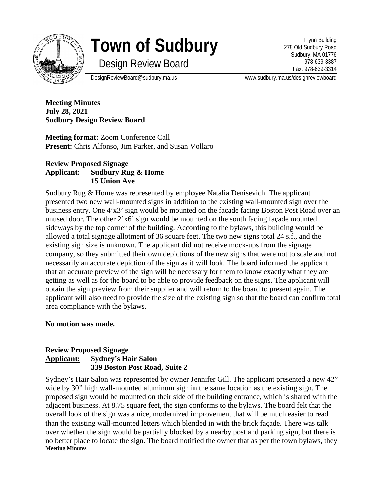

# **Town of Sudbury**

Design Review Board

Flynn Building 278 Old Sudbury Road Sudbury, MA 01776 978-639-3387 Fax: 978-639-3314

DesignReviewBoard@sudbury.ma.us www.sudbury.ma.us/designreviewboard

**Meeting Minutes July 28, 2021 Sudbury Design Review Board**

**Meeting format:** Zoom Conference Call **Present:** Chris Alfonso, Jim Parker, and Susan Vollaro

# **Review Proposed Signage Applicant: Sudbury Rug & Home 15 Union Ave**

Sudbury Rug & Home was represented by employee Natalia Denisevich. The applicant presented two new wall-mounted signs in addition to the existing wall-mounted sign over the business entry. One 4'x3' sign would be mounted on the façade facing Boston Post Road over an unused door. The other 2'x6' sign would be mounted on the south facing façade mounted sideways by the top corner of the building. According to the bylaws, this building would be allowed a total signage allotment of 36 square feet. The two new signs total 24 s.f., and the existing sign size is unknown. The applicant did not receive mock-ups from the signage company, so they submitted their own depictions of the new signs that were not to scale and not necessarily an accurate depiction of the sign as it will look. The board informed the applicant that an accurate preview of the sign will be necessary for them to know exactly what they are getting as well as for the board to be able to provide feedback on the signs. The applicant will obtain the sign preview from their supplier and will return to the board to present again. The applicant will also need to provide the size of the existing sign so that the board can confirm total area compliance with the bylaws.

# **No motion was made.**

# **Review Proposed Signage Applicant: Sydney's Hair Salon 339 Boston Post Road, Suite 2**

Sydney's Hair Salon was represented by owner Jennifer Gill. The applicant presented a new 42" wide by 30" high wall-mounted aluminum sign in the same location as the existing sign. The proposed sign would be mounted on their side of the building entrance, which is shared with the adjacent business. At 8.75 square feet, the sign conforms to the bylaws. The board felt that the overall look of the sign was a nice, modernized improvement that will be much easier to read than the existing wall-mounted letters which blended in with the brick façade. There was talk over whether the sign would be partially blocked by a nearby post and parking sign, but there is no better place to locate the sign. The board notified the owner that as per the town bylaws, they **Meeting Minutes**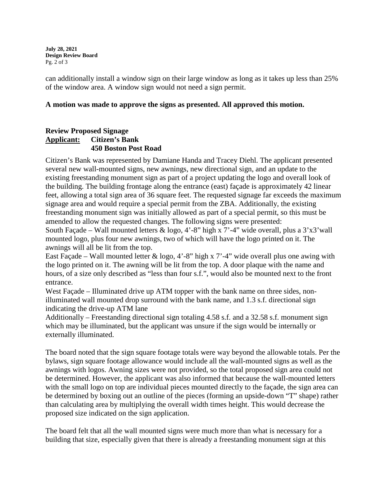**July 28, 2021 Design Review Board** Pg. 2 of 3

can additionally install a window sign on their large window as long as it takes up less than 25% of the window area. A window sign would not need a sign permit.

#### **A motion was made to approve the signs as presented. All approved this motion.**

# **Review Proposed Signage Applicant: Citizen's Bank 450 Boston Post Road**

Citizen's Bank was represented by Damiane Handa and Tracey Diehl. The applicant presented several new wall-mounted signs, new awnings, new directional sign, and an update to the existing freestanding monument sign as part of a project updating the logo and overall look of the building. The building frontage along the entrance (east) façade is approximately 42 linear feet, allowing a total sign area of 36 square feet. The requested signage far exceeds the maximum signage area and would require a special permit from the ZBA. Additionally, the existing freestanding monument sign was initially allowed as part of a special permit, so this must be amended to allow the requested changes. The following signs were presented:

South Façade – Wall mounted letters  $\&$  logo, 4'-8" high x 7'-4" wide overall, plus a 3'x3' wall mounted logo, plus four new awnings, two of which will have the logo printed on it. The awnings will all be lit from the top.

East Façade – Wall mounted letter & logo, 4'-8" high x 7'-4" wide overall plus one awing with the logo printed on it. The awning will be lit from the top. A door plaque with the name and hours, of a size only described as "less than four s.f.", would also be mounted next to the front entrance.

West Façade – Illuminated drive up ATM topper with the bank name on three sides, nonilluminated wall mounted drop surround with the bank name, and 1.3 s.f. directional sign indicating the drive-up ATM lane

Additionally – Freestanding directional sign totaling 4.58 s.f. and a 32.58 s.f. monument sign which may be illuminated, but the applicant was unsure if the sign would be internally or externally illuminated.

The board noted that the sign square footage totals were way beyond the allowable totals. Per the bylaws, sign square footage allowance would include all the wall-mounted signs as well as the awnings with logos. Awning sizes were not provided, so the total proposed sign area could not be determined. However, the applicant was also informed that because the wall-mounted letters with the small logo on top are individual pieces mounted directly to the facade, the sign area can be determined by boxing out an outline of the pieces (forming an upside-down "T" shape) rather than calculating area by multiplying the overall width times height. This would decrease the proposed size indicated on the sign application.

The board felt that all the wall mounted signs were much more than what is necessary for a building that size, especially given that there is already a freestanding monument sign at this